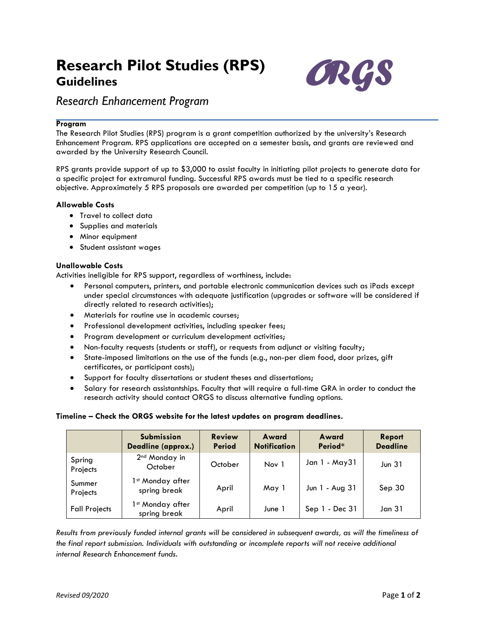# **Research Pilot Studies (RPS) Guidelines**



# *Research Enhancement Program*

# **Program**

The Research Pilot Studies (RPS) program is a grant competition authorized by the university's Research Enhancement Program. RPS applications are accepted on a semester basis, and grants are reviewed and awarded by the University Research Council.

RPS grants provide support of up to \$3,000 to assist faculty in initiating pilot projects to generate data for a specific project for extramural funding. Successful RPS awards must be tied to a specific research objective. Approximately 5 RPS proposals are awarded per competition (up to 15 a year).

## **Allowable Costs**

- Travel to collect data
- Supplies and materials
- Minor equipment
- Student assistant wages

# **Unallowable Costs**

Activities ineligible for RPS support, regardless of worthiness, include:

- Personal computers, printers, and portable electronic communication devices such as iPads except under special circumstances with adequate justification (upgrades or software will be considered if directly related to research activities);
- Materials for routine use in academic courses;
- Professional development activities, including speaker fees;
- Program development or curriculum development activities;
- Non-faculty requests (students or staff), or requests from adjunct or visiting faculty;
- State-imposed limitations on the use of the funds (e.g., non-per diem food, door prizes, gift certificates, or participant costs);
- Support for faculty dissertations or student theses and dissertations;
- Salary for research assistantships. Faculty that will require a full-time GRA in order to conduct the research activity should contact ORGS to discuss alternative funding options.

# **Timeline – Check the ORGS website for the latest updates on program deadlines.**

|                      | <b>Submission</b><br>Deadline (approx.)      | <b>Review</b><br><b>Period</b> | Award<br><b>Notification</b> | Award<br>Period* | Report<br><b>Deadline</b> |
|----------------------|----------------------------------------------|--------------------------------|------------------------------|------------------|---------------------------|
| Spring<br>Projects   | 2 <sup>nd</sup> Monday in<br>October         | October                        | Nov 1                        | Jan 1 - May 31   | Jun $31$                  |
| Summer<br>Projects   | 1 <sup>st</sup> Monday after<br>spring break | April                          | May 1                        | Jun 1 - Aug 31   | Sep 30                    |
| <b>Fall Projects</b> | 1 <sup>st</sup> Monday after<br>spring break | April                          | June 1                       | Sep 1 - Dec 31   | Jan 31                    |

*Results from previously funded internal grants will be considered in subsequent awards, as will the timeliness of the final report submission. Individuals with outstanding or incomplete reports will not receive additional internal Research Enhancement funds.*